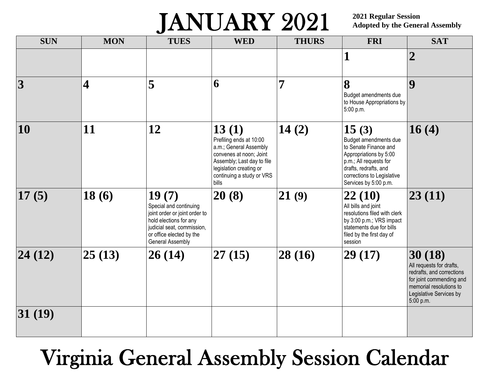## JANUARY 2021

**2021 Regular Session Adopted by the General Assembly**

| <b>SUN</b>              | <b>MON</b>              | <b>TUES</b>                                                                                                                                                              | <b>WED</b>                                                                                                                                                                           | <b>THURS</b> | <b>FRI</b>                                                                                                                                                                                  | <b>SAT</b>                                                                                                                                                     |
|-------------------------|-------------------------|--------------------------------------------------------------------------------------------------------------------------------------------------------------------------|--------------------------------------------------------------------------------------------------------------------------------------------------------------------------------------|--------------|---------------------------------------------------------------------------------------------------------------------------------------------------------------------------------------------|----------------------------------------------------------------------------------------------------------------------------------------------------------------|
|                         |                         |                                                                                                                                                                          |                                                                                                                                                                                      |              | 1                                                                                                                                                                                           | $\boldsymbol{2}$                                                                                                                                               |
| $\overline{\mathbf{3}}$ | $\overline{\mathbf{4}}$ | 5                                                                                                                                                                        | 6                                                                                                                                                                                    | 7            | 8<br>Budget amendments due<br>to House Appropriations by<br>5:00 p.m.                                                                                                                       | $\boldsymbol{9}$                                                                                                                                               |
| 10                      | 11                      | 12                                                                                                                                                                       | 13(1)<br>Prefiling ends at 10:00<br>a.m.; General Assembly<br>convenes at noon; Joint<br>Assembly; Last day to file<br>legislation creating or<br>continuing a study or VRS<br>bills | 14(2)        | 15(3)<br>Budget amendments due<br>to Senate Finance and<br>Appropriations by 5:00<br>p.m.; All requests for<br>drafts, redrafts, and<br>corrections to Legislative<br>Services by 5:00 p.m. | 16(4)                                                                                                                                                          |
| 17(5)                   | 18(6)                   | 19(7)<br>Special and continuing<br>joint order or joint order to<br>hold elections for any<br>judicial seat, commission,<br>or office elected by the<br>General Assembly | 20(8)                                                                                                                                                                                | 21(9)        | 22(10)<br>All bills and joint<br>resolutions filed with clerk<br>by 3:00 p.m.; VRS impact<br>statements due for bills<br>filed by the first day of<br>session                               | 23(11)                                                                                                                                                         |
| 24(12)                  | 25(13)                  | 26(14)                                                                                                                                                                   | 27(15)                                                                                                                                                                               | 28(16)       | 29(17)                                                                                                                                                                                      | 30(18)<br>All requests for drafts,<br>redrafts, and corrections<br>for joint commending and<br>memorial resolutions to<br>Legislative Services by<br>5:00 p.m. |
| 31(19)                  |                         |                                                                                                                                                                          |                                                                                                                                                                                      |              |                                                                                                                                                                                             |                                                                                                                                                                |

## Virginia General Assembly Session Calendar